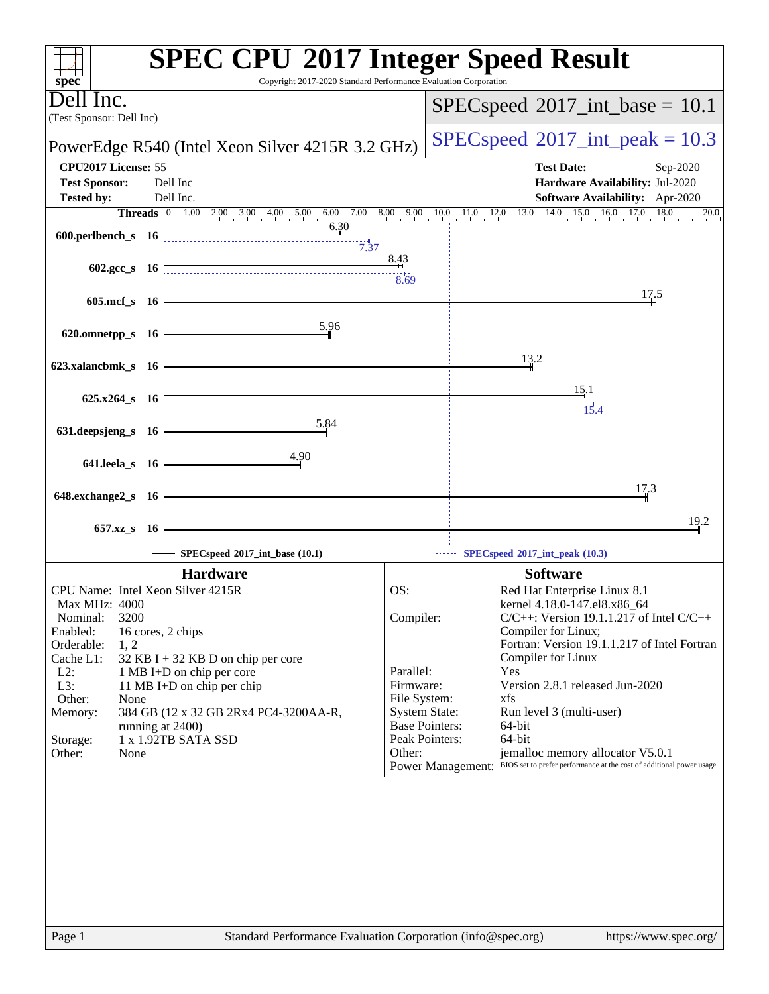| $spec^*$                                                              | <b>SPEC CPU®2017 Integer Speed Result</b><br>Copyright 2017-2020 Standard Performance Evaluation Corporation       |
|-----------------------------------------------------------------------|--------------------------------------------------------------------------------------------------------------------|
| Dell Inc.<br>(Test Sponsor: Dell Inc)                                 | $SPEC speed^{\circ}2017\_int\_base = 10.1$                                                                         |
| PowerEdge R540 (Intel Xeon Silver 4215R 3.2 GHz)                      | $SPEC speed^{\circ}2017\_int\_peak = 10.3$                                                                         |
| CPU2017 License: 55                                                   | <b>Test Date:</b><br>Sep-2020                                                                                      |
| <b>Test Sponsor:</b><br>Dell Inc                                      | Hardware Availability: Jul-2020                                                                                    |
| Dell Inc.<br><b>Tested by:</b>                                        | Software Availability: Apr-2020                                                                                    |
|                                                                       | <b>Threads</b> 0 1.00 2.00 3.00 4.00 5.00 6.00 7.00 8.00 9.00 10.0 11.0 12.0 13.0 14.0 15.0 16.0 17.0 18.0<br>20.0 |
| 6.30<br>600.perlbench_s 16                                            |                                                                                                                    |
|                                                                       | 7.37                                                                                                               |
| $602.\text{gcc s}$ 16                                                 | 8.43                                                                                                               |
|                                                                       | 8.69                                                                                                               |
| 605.mcf_s 16                                                          | 17.5                                                                                                               |
|                                                                       |                                                                                                                    |
| 5.96<br>620.omnetpp_s 16                                              |                                                                                                                    |
|                                                                       |                                                                                                                    |
| 623.xalancbmk_s 16                                                    | 13.2                                                                                                               |
|                                                                       |                                                                                                                    |
| 625.x264 s 16                                                         | 15.1                                                                                                               |
|                                                                       | 15.4                                                                                                               |
| 5.84<br>631.deepsjeng_s 16                                            |                                                                                                                    |
|                                                                       |                                                                                                                    |
| 4.90<br>641.leela_s 16                                                |                                                                                                                    |
|                                                                       | 17.3                                                                                                               |
| 648.exchange2_s 16                                                    |                                                                                                                    |
|                                                                       | 19.2                                                                                                               |
| 657.xz_s 16                                                           |                                                                                                                    |
| SPECspeed®2017_int_base (10.1)                                        | SPECspeed®2017_int_peak (10.3)                                                                                     |
| <b>Hardware</b>                                                       | <b>Software</b>                                                                                                    |
| CPU Name: Intel Xeon Silver 4215R                                     | OS:<br>Red Hat Enterprise Linux 8.1                                                                                |
| <b>Max MHz: 4000</b>                                                  | kernel 4.18.0-147.el8.x86_64                                                                                       |
| 3200<br>Nominal:                                                      | Compiler:<br>$C/C++$ : Version 19.1.1.217 of Intel $C/C++$                                                         |
| Enabled:<br>16 cores, 2 chips                                         | Compiler for Linux;                                                                                                |
| Orderable:<br>1, 2<br>32 KB I + 32 KB D on chip per core<br>Cache L1: | Fortran: Version 19.1.1.217 of Intel Fortran<br>Compiler for Linux                                                 |
| $L2$ :<br>1 MB I+D on chip per core                                   | Parallel:<br>Yes                                                                                                   |
| L3:<br>11 MB I+D on chip per chip                                     | Version 2.8.1 released Jun-2020<br>Firmware:                                                                       |
| Other:<br>None                                                        | File System:<br>xfs                                                                                                |
| 384 GB (12 x 32 GB 2Rx4 PC4-3200AA-R,<br>Memory:<br>running at 2400)  | <b>System State:</b><br>Run level 3 (multi-user)<br><b>Base Pointers:</b><br>64-bit                                |
| 1 x 1.92TB SATA SSD<br>Storage:                                       | Peak Pointers:<br>64-bit                                                                                           |
| Other:<br>None                                                        | jemalloc memory allocator V5.0.1<br>Other:                                                                         |
|                                                                       | Power Management: BIOS set to prefer performance at the cost of additional power usage                             |
|                                                                       |                                                                                                                    |
|                                                                       |                                                                                                                    |
|                                                                       |                                                                                                                    |
|                                                                       |                                                                                                                    |
|                                                                       |                                                                                                                    |
|                                                                       |                                                                                                                    |
|                                                                       |                                                                                                                    |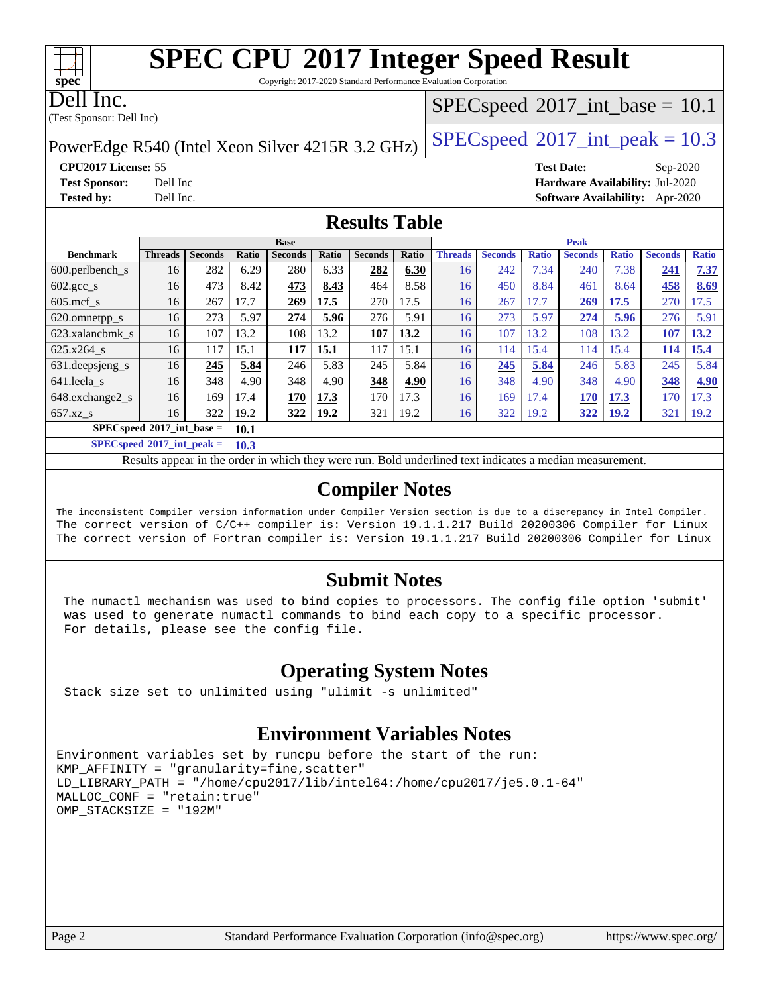Copyright 2017-2020 Standard Performance Evaluation Corporation

Dell Inc.

**[spec](http://www.spec.org/)**

 $\pm\pm\prime$ 

(Test Sponsor: Dell Inc)

## $SPECspeed^{\circledast}2017\_int\_base = 10.1$  $SPECspeed^{\circledast}2017\_int\_base = 10.1$

PowerEdge R540 (Intel Xeon Silver 4215R 3.2 GHz)  $\left|$  [SPECspeed](http://www.spec.org/auto/cpu2017/Docs/result-fields.html#SPECspeed2017intpeak)®[2017\\_int\\_peak = 1](http://www.spec.org/auto/cpu2017/Docs/result-fields.html#SPECspeed2017intpeak)0.3

**[CPU2017 License:](http://www.spec.org/auto/cpu2017/Docs/result-fields.html#CPU2017License)** 55 **[Test Date:](http://www.spec.org/auto/cpu2017/Docs/result-fields.html#TestDate)** Sep-2020 **[Test Sponsor:](http://www.spec.org/auto/cpu2017/Docs/result-fields.html#TestSponsor)** Dell Inc **[Hardware Availability:](http://www.spec.org/auto/cpu2017/Docs/result-fields.html#HardwareAvailability)** Jul-2020

**[Tested by:](http://www.spec.org/auto/cpu2017/Docs/result-fields.html#Testedby)** Dell Inc. **[Software Availability:](http://www.spec.org/auto/cpu2017/Docs/result-fields.html#SoftwareAvailability)** Apr-2020

## **[Results Table](http://www.spec.org/auto/cpu2017/Docs/result-fields.html#ResultsTable)**

|                                     | <b>Base</b>    |                |       |                |             | <b>Peak</b>    |       |                |                |              |                |              |                |              |
|-------------------------------------|----------------|----------------|-------|----------------|-------------|----------------|-------|----------------|----------------|--------------|----------------|--------------|----------------|--------------|
| <b>Benchmark</b>                    | <b>Threads</b> | <b>Seconds</b> | Ratio | <b>Seconds</b> | Ratio       | <b>Seconds</b> | Ratio | <b>Threads</b> | <b>Seconds</b> | <b>Ratio</b> | <b>Seconds</b> | <b>Ratio</b> | <b>Seconds</b> | <b>Ratio</b> |
| $600.$ perlbench $\mathsf{S}$       | 16             | 282            | 6.29  | 280            | 6.33        | 282            | 6.30  | 16             | 242            | 7.34         | 240            | 7.38         | 241            | 7.37         |
| 602.gcc_s                           | 16             | 473            | 8.42  | 473            | 8.43        | 464            | 8.58  | 16             | 450            | 8.84         | 461            | 8.64         | 458            | 8.69         |
| $605 \text{.mcf}$ s                 | 16             | 267            | 17.7  | 269            | 17.5        | 270            | 17.5  | 16             | 267            | 17.7         | <u>269</u>     | 17.5         | 270            | 17.5         |
| 620.omnetpp_s                       | 16             | 273            | 5.97  | 274            | 5.96        | 276            | 5.91  | 16             | 273            | 5.97         | 274            | 5.96         | 276            | 5.91         |
| 623.xalancbmk s                     | 16             | 107            | 13.2  | 108            | 13.2        | 107            | 13.2  | 16             | 107            | 13.2         | 108            | 13.2         | 107            | 13.2         |
| 625.x264 s                          | 16             | 117            | 15.1  | 117            | 15.1        | 117            | 15.1  | 16             | 114            | 15.4         | 114            | 15.4         | 114            | 15.4         |
| 631.deepsjeng_s                     | 16             | 245            | 5.84  | 246            | 5.83        | 245            | 5.84  | 16             | 245            | 5.84         | 246            | 5.83         | 245            | 5.84         |
| 641.leela s                         | 16             | 348            | 4.90  | 348            | 4.90        | 348            | 4.90  | 16             | 348            | 4.90         | 348            | 4.90         | 348            | 4.90         |
| 648.exchange2_s                     | 16             | 169            | 17.4  | 170            | 17.3        | 170            | 17.3  | 16             | 169            | 17.4         | 170            | 17.3         | 170            | 17.3         |
| $657.xz$ s                          | 16             | 322            | 19.2  | 322            | <b>19.2</b> | 321            | 19.2  | 16             | 322            | 19.2         | 322            | <b>19.2</b>  | 321            | 19.2         |
| $SPECspeed*2017$ int base =<br>10.1 |                |                |       |                |             |                |       |                |                |              |                |              |                |              |

**[SPECspeed](http://www.spec.org/auto/cpu2017/Docs/result-fields.html#SPECspeed2017intpeak)[2017\\_int\\_peak =](http://www.spec.org/auto/cpu2017/Docs/result-fields.html#SPECspeed2017intpeak) 10.3**

Results appear in the [order in which they were run.](http://www.spec.org/auto/cpu2017/Docs/result-fields.html#RunOrder) Bold underlined text [indicates a median measurement](http://www.spec.org/auto/cpu2017/Docs/result-fields.html#Median).

## **[Compiler Notes](http://www.spec.org/auto/cpu2017/Docs/result-fields.html#CompilerNotes)**

The inconsistent Compiler version information under Compiler Version section is due to a discrepancy in Intel Compiler. The correct version of C/C++ compiler is: Version 19.1.1.217 Build 20200306 Compiler for Linux The correct version of Fortran compiler is: Version 19.1.1.217 Build 20200306 Compiler for Linux

## **[Submit Notes](http://www.spec.org/auto/cpu2017/Docs/result-fields.html#SubmitNotes)**

 The numactl mechanism was used to bind copies to processors. The config file option 'submit' was used to generate numactl commands to bind each copy to a specific processor. For details, please see the config file.

## **[Operating System Notes](http://www.spec.org/auto/cpu2017/Docs/result-fields.html#OperatingSystemNotes)**

Stack size set to unlimited using "ulimit -s unlimited"

## **[Environment Variables Notes](http://www.spec.org/auto/cpu2017/Docs/result-fields.html#EnvironmentVariablesNotes)**

```
Environment variables set by runcpu before the start of the run:
KMP_AFFINITY = "granularity=fine,scatter"
LD_LIBRARY_PATH = "/home/cpu2017/lib/intel64:/home/cpu2017/je5.0.1-64"
MALLOC_CONF = "retain:true"
OMP_STACKSIZE = "192M"
```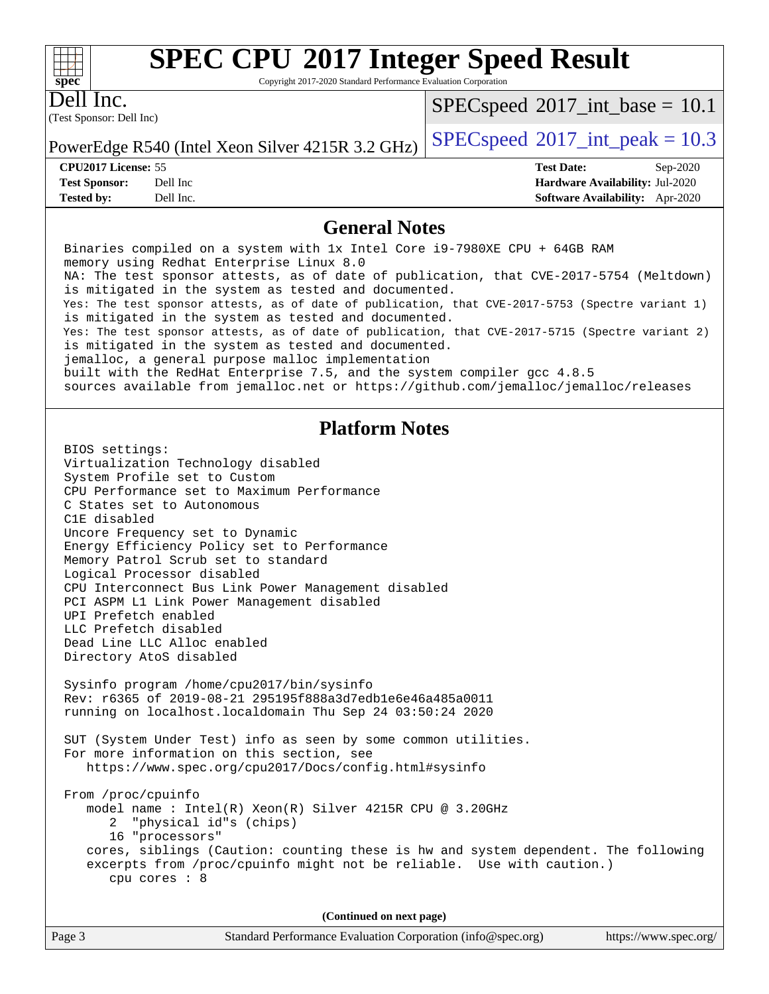Copyright 2017-2020 Standard Performance Evaluation Corporation

Dell Inc.

**[spec](http://www.spec.org/)**

 $+\hskip -1.5pt +\hskip -1.5pt +$ 

(Test Sponsor: Dell Inc)

 $SPECspeed^{\circ}2017\_int\_base = 10.1$  $SPECspeed^{\circ}2017\_int\_base = 10.1$ 

PowerEdge R540 (Intel Xeon Silver 4215R 3.2 GHz) [SPECspeed](http://www.spec.org/auto/cpu2017/Docs/result-fields.html#SPECspeed2017intpeak)<sup>®</sup>[2017\\_int\\_peak = 1](http://www.spec.org/auto/cpu2017/Docs/result-fields.html#SPECspeed2017intpeak)0.3

**[CPU2017 License:](http://www.spec.org/auto/cpu2017/Docs/result-fields.html#CPU2017License)** 55 **[Test Date:](http://www.spec.org/auto/cpu2017/Docs/result-fields.html#TestDate)** Sep-2020 **[Test Sponsor:](http://www.spec.org/auto/cpu2017/Docs/result-fields.html#TestSponsor)** Dell Inc **[Hardware Availability:](http://www.spec.org/auto/cpu2017/Docs/result-fields.html#HardwareAvailability)** Jul-2020 **[Tested by:](http://www.spec.org/auto/cpu2017/Docs/result-fields.html#Testedby)** Dell Inc. **[Software Availability:](http://www.spec.org/auto/cpu2017/Docs/result-fields.html#SoftwareAvailability)** Apr-2020

#### **[General Notes](http://www.spec.org/auto/cpu2017/Docs/result-fields.html#GeneralNotes)**

Page 3 Standard Performance Evaluation Corporation [\(info@spec.org\)](mailto:info@spec.org) <https://www.spec.org/> Binaries compiled on a system with 1x Intel Core i9-7980XE CPU + 64GB RAM memory using Redhat Enterprise Linux 8.0 NA: The test sponsor attests, as of date of publication, that CVE-2017-5754 (Meltdown) is mitigated in the system as tested and documented. Yes: The test sponsor attests, as of date of publication, that CVE-2017-5753 (Spectre variant 1) is mitigated in the system as tested and documented. Yes: The test sponsor attests, as of date of publication, that CVE-2017-5715 (Spectre variant 2) is mitigated in the system as tested and documented. jemalloc, a general purpose malloc implementation built with the RedHat Enterprise 7.5, and the system compiler gcc 4.8.5 sources available from jemalloc.net or<https://github.com/jemalloc/jemalloc/releases> **[Platform Notes](http://www.spec.org/auto/cpu2017/Docs/result-fields.html#PlatformNotes)** BIOS settings: Virtualization Technology disabled System Profile set to Custom CPU Performance set to Maximum Performance C States set to Autonomous C1E disabled Uncore Frequency set to Dynamic Energy Efficiency Policy set to Performance Memory Patrol Scrub set to standard Logical Processor disabled CPU Interconnect Bus Link Power Management disabled PCI ASPM L1 Link Power Management disabled UPI Prefetch enabled LLC Prefetch disabled Dead Line LLC Alloc enabled Directory AtoS disabled Sysinfo program /home/cpu2017/bin/sysinfo Rev: r6365 of 2019-08-21 295195f888a3d7edb1e6e46a485a0011 running on localhost.localdomain Thu Sep 24 03:50:24 2020 SUT (System Under Test) info as seen by some common utilities. For more information on this section, see <https://www.spec.org/cpu2017/Docs/config.html#sysinfo> From /proc/cpuinfo model name : Intel(R) Xeon(R) Silver 4215R CPU @ 3.20GHz 2 "physical id"s (chips) 16 "processors" cores, siblings (Caution: counting these is hw and system dependent. The following excerpts from /proc/cpuinfo might not be reliable. Use with caution.) cpu cores : 8 **(Continued on next page)**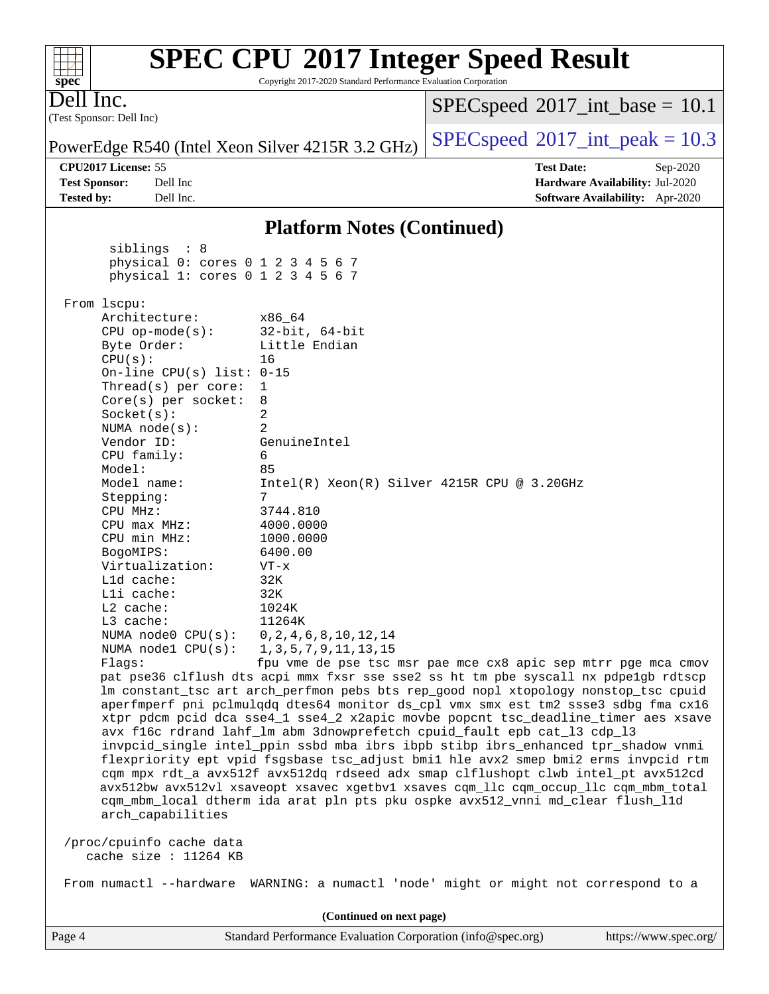#### Page 4 Standard Performance Evaluation Corporation [\(info@spec.org\)](mailto:info@spec.org) <https://www.spec.org/> (Test Sponsor: Dell Inc) Dell Inc. PowerEdge R540 (Intel Xeon Silver 4215R 3.2 GHz) [SPECspeed](http://www.spec.org/auto/cpu2017/Docs/result-fields.html#SPECspeed2017intpeak)<sup>®</sup>[2017\\_int\\_peak = 1](http://www.spec.org/auto/cpu2017/Docs/result-fields.html#SPECspeed2017intpeak)0.3  $SPECspeed^{\circ}2017\_int\_base = 10.1$  $SPECspeed^{\circ}2017\_int\_base = 10.1$ **[CPU2017 License:](http://www.spec.org/auto/cpu2017/Docs/result-fields.html#CPU2017License)** 55 **[Test Date:](http://www.spec.org/auto/cpu2017/Docs/result-fields.html#TestDate)** Sep-2020 **[Test Sponsor:](http://www.spec.org/auto/cpu2017/Docs/result-fields.html#TestSponsor)** Dell Inc **[Hardware Availability:](http://www.spec.org/auto/cpu2017/Docs/result-fields.html#HardwareAvailability)** Jul-2020 **[Tested by:](http://www.spec.org/auto/cpu2017/Docs/result-fields.html#Testedby)** Dell Inc. **[Software Availability:](http://www.spec.org/auto/cpu2017/Docs/result-fields.html#SoftwareAvailability)** Apr-2020 **[Platform Notes \(Continued\)](http://www.spec.org/auto/cpu2017/Docs/result-fields.html#PlatformNotes)** siblings : 8 physical 0: cores 0 1 2 3 4 5 6 7 physical 1: cores 0 1 2 3 4 5 6 7 From lscpu: Architecture: x86\_64 CPU op-mode(s): 32-bit, 64-bit Byte Order: Little Endian CPU(s): 16 On-line CPU(s) list: 0-15 Thread(s) per core: 1 Core(s) per socket: 8 Socket(s): 2 NUMA node(s): 2 Vendor ID: GenuineIntel CPU family: 6 Model: 85 Model name: Intel(R) Xeon(R) Silver 4215R CPU @ 3.20GHz Stepping: 7 CPU MHz: 3744.810 CPU max MHz: 4000.0000 CPU min MHz: 1000.0000 BogoMIPS: 6400.00 Virtualization: VT-x L1d cache: 32K L1i cache: 32K L2 cache: 1024K L3 cache: 11264K NUMA node0 CPU(s): 0,2,4,6,8,10,12,14 NUMA node1 CPU(s): 1,3,5,7,9,11,13,15 Flags: fpu vme de pse tsc msr pae mce cx8 apic sep mtrr pge mca cmov pat pse36 clflush dts acpi mmx fxsr sse sse2 ss ht tm pbe syscall nx pdpe1gb rdtscp lm constant\_tsc art arch\_perfmon pebs bts rep\_good nopl xtopology nonstop\_tsc cpuid aperfmperf pni pclmulqdq dtes64 monitor ds\_cpl vmx smx est tm2 ssse3 sdbg fma cx16 xtpr pdcm pcid dca sse4\_1 sse4\_2 x2apic movbe popcnt tsc\_deadline\_timer aes xsave avx f16c rdrand lahf\_lm abm 3dnowprefetch cpuid\_fault epb cat\_l3 cdp\_l3 invpcid\_single intel\_ppin ssbd mba ibrs ibpb stibp ibrs\_enhanced tpr\_shadow vnmi flexpriority ept vpid fsgsbase tsc\_adjust bmi1 hle avx2 smep bmi2 erms invpcid rtm cqm mpx rdt\_a avx512f avx512dq rdseed adx smap clflushopt clwb intel\_pt avx512cd avx512bw avx512vl xsaveopt xsavec xgetbv1 xsaves cqm\_llc cqm\_occup\_llc cqm\_mbm\_total cqm\_mbm\_local dtherm ida arat pln pts pku ospke avx512\_vnni md\_clear flush\_l1d arch\_capabilities /proc/cpuinfo cache data cache size : 11264 KB From numactl --hardware WARNING: a numactl 'node' might or might not correspond to a **(Continued on next page)**

**[SPEC CPU](http://www.spec.org/auto/cpu2017/Docs/result-fields.html#SPECCPU2017IntegerSpeedResult)[2017 Integer Speed Result](http://www.spec.org/auto/cpu2017/Docs/result-fields.html#SPECCPU2017IntegerSpeedResult)** Copyright 2017-2020 Standard Performance Evaluation Corporation

**[spec](http://www.spec.org/)**

 $+\!\!+\!\!$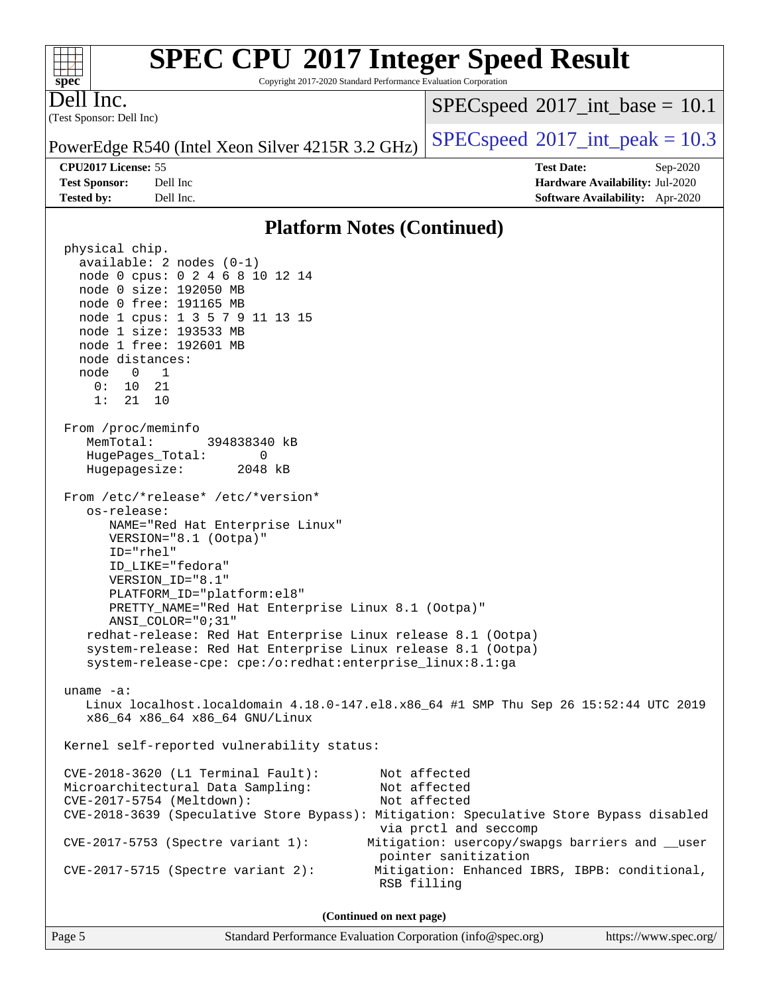Copyright 2017-2020 Standard Performance Evaluation Corporation

(Test Sponsor: Dell Inc) Dell Inc.

**[spec](http://www.spec.org/)**

 $+\ +$ 

 $SPECspeed^{\circ}2017\_int\_base = 10.1$  $SPECspeed^{\circ}2017\_int\_base = 10.1$ 

**[Tested by:](http://www.spec.org/auto/cpu2017/Docs/result-fields.html#Testedby)** Dell Inc. **[Software Availability:](http://www.spec.org/auto/cpu2017/Docs/result-fields.html#SoftwareAvailability)** Apr-2020

PowerEdge R540 (Intel Xeon Silver 4215R 3.2 GHz)  $\left|$  [SPECspeed](http://www.spec.org/auto/cpu2017/Docs/result-fields.html#SPECspeed2017intpeak)®[2017\\_int\\_peak = 1](http://www.spec.org/auto/cpu2017/Docs/result-fields.html#SPECspeed2017intpeak)0.3

**[CPU2017 License:](http://www.spec.org/auto/cpu2017/Docs/result-fields.html#CPU2017License)** 55 **[Test Date:](http://www.spec.org/auto/cpu2017/Docs/result-fields.html#TestDate)** Sep-2020 **[Test Sponsor:](http://www.spec.org/auto/cpu2017/Docs/result-fields.html#TestSponsor)** Dell Inc **[Hardware Availability:](http://www.spec.org/auto/cpu2017/Docs/result-fields.html#HardwareAvailability)** Jul-2020

### **[Platform Notes \(Continued\)](http://www.spec.org/auto/cpu2017/Docs/result-fields.html#PlatformNotes)**

 physical chip. available: 2 nodes (0-1) node 0 cpus: 0 2 4 6 8 10 12 14 node 0 size: 192050 MB node 0 free: 191165 MB node 1 cpus: 1 3 5 7 9 11 13 15 node 1 size: 193533 MB node 1 free: 192601 MB node distances: node 0 1 0: 10 21 1: 21 10 From /proc/meminfo MemTotal: 394838340 kB HugePages\_Total: 0 Hugepagesize: 2048 kB From /etc/\*release\* /etc/\*version\* os-release: NAME="Red Hat Enterprise Linux" VERSION="8.1 (Ootpa)" ID="rhel" ID\_LIKE="fedora" VERSION\_ID="8.1" PLATFORM\_ID="platform:el8" PRETTY\_NAME="Red Hat Enterprise Linux 8.1 (Ootpa)" ANSI\_COLOR="0;31" redhat-release: Red Hat Enterprise Linux release 8.1 (Ootpa) system-release: Red Hat Enterprise Linux release 8.1 (Ootpa) system-release-cpe: cpe:/o:redhat:enterprise\_linux:8.1:ga uname -a: Linux localhost.localdomain 4.18.0-147.el8.x86\_64 #1 SMP Thu Sep 26 15:52:44 UTC 2019 x86\_64 x86\_64 x86\_64 GNU/Linux Kernel self-reported vulnerability status: CVE-2018-3620 (L1 Terminal Fault): Not affected Microarchitectural Data Sampling: Not affected CVE-2017-5754 (Meltdown): Not affected CVE-2018-3639 (Speculative Store Bypass): Mitigation: Speculative Store Bypass disabled via prctl and seccomp CVE-2017-5753 (Spectre variant 1): Mitigation: usercopy/swapgs barriers and \_\_user pointer sanitization CVE-2017-5715 (Spectre variant 2): Mitigation: Enhanced IBRS, IBPB: conditional, RSB filling **(Continued on next page)**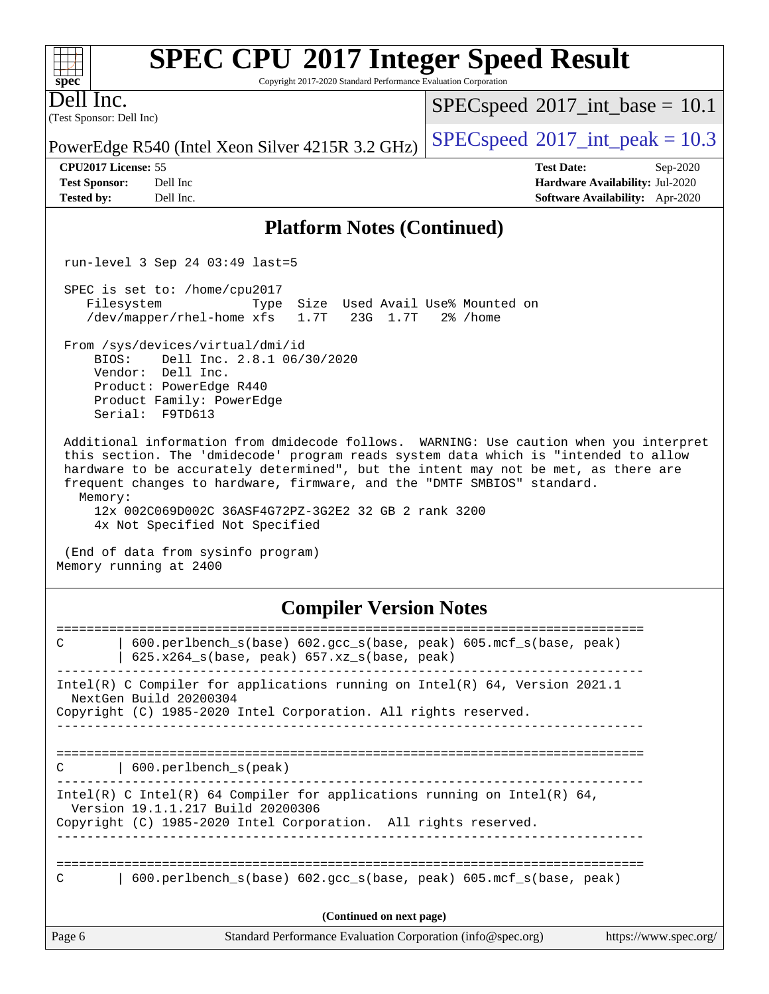Copyright 2017-2020 Standard Performance Evaluation Corporation

(Test Sponsor: Dell Inc) Dell Inc.

 $SPECspeed^{\circ}2017\_int\_base = 10.1$  $SPECspeed^{\circ}2017\_int\_base = 10.1$ 

PowerEdge R540 (Intel Xeon Silver 4215R 3.2 GHz) [SPECspeed](http://www.spec.org/auto/cpu2017/Docs/result-fields.html#SPECspeed2017intpeak)<sup>®</sup>[2017\\_int\\_peak = 1](http://www.spec.org/auto/cpu2017/Docs/result-fields.html#SPECspeed2017intpeak)0.3

**[CPU2017 License:](http://www.spec.org/auto/cpu2017/Docs/result-fields.html#CPU2017License)** 55 **[Test Date:](http://www.spec.org/auto/cpu2017/Docs/result-fields.html#TestDate)** Sep-2020

**[Test Sponsor:](http://www.spec.org/auto/cpu2017/Docs/result-fields.html#TestSponsor)** Dell Inc **[Hardware Availability:](http://www.spec.org/auto/cpu2017/Docs/result-fields.html#HardwareAvailability)** Jul-2020 **[Tested by:](http://www.spec.org/auto/cpu2017/Docs/result-fields.html#Testedby)** Dell Inc. **[Software Availability:](http://www.spec.org/auto/cpu2017/Docs/result-fields.html#SoftwareAvailability)** Apr-2020

### **[Platform Notes \(Continued\)](http://www.spec.org/auto/cpu2017/Docs/result-fields.html#PlatformNotes)**

run-level 3 Sep 24 03:49 last=5

 SPEC is set to: /home/cpu2017 Filesystem Type Size Used Avail Use% Mounted on /dev/mapper/rhel-home xfs 1.7T 23G 1.7T 2% /home

 From /sys/devices/virtual/dmi/id BIOS: Dell Inc. 2.8.1 06/30/2020

 Vendor: Dell Inc. Product: PowerEdge R440 Product Family: PowerEdge Serial: F9TD613

 Additional information from dmidecode follows. WARNING: Use caution when you interpret this section. The 'dmidecode' program reads system data which is "intended to allow hardware to be accurately determined", but the intent may not be met, as there are frequent changes to hardware, firmware, and the "DMTF SMBIOS" standard. Memory:

 12x 002C069D002C 36ASF4G72PZ-3G2E2 32 GB 2 rank 3200 4x Not Specified Not Specified

 (End of data from sysinfo program) Memory running at 2400

## **[Compiler Version Notes](http://www.spec.org/auto/cpu2017/Docs/result-fields.html#CompilerVersionNotes)**

| C                        | $600.$ perlbench $s(base) 602.$ qcc $s(base, peak) 605.$ mcf $s(base, peak)$<br>$625.x264_s(base, peak)$ 657.xz <sub>_S</sub> (base, peak) |                       |  |  |
|--------------------------|--------------------------------------------------------------------------------------------------------------------------------------------|-----------------------|--|--|
|                          |                                                                                                                                            |                       |  |  |
| NextGen Build 20200304   | Intel(R) C Compiler for applications running on Intel(R) $64$ , Version 2021.1                                                             |                       |  |  |
|                          | Copyright (C) 1985-2020 Intel Corporation. All rights reserved.                                                                            |                       |  |  |
|                          |                                                                                                                                            |                       |  |  |
|                          |                                                                                                                                            |                       |  |  |
| C                        | 600.perlbench s(peak)                                                                                                                      |                       |  |  |
|                          | Intel(R) C Intel(R) 64 Compiler for applications running on Intel(R) 64,                                                                   |                       |  |  |
|                          | Version 19.1.1.217 Build 20200306<br>Copyright (C) 1985-2020 Intel Corporation. All rights reserved.                                       |                       |  |  |
|                          |                                                                                                                                            |                       |  |  |
|                          |                                                                                                                                            |                       |  |  |
| C                        | $600.$ perlbench $s(base) 602.$ qcc $s(base, peak) 605.$ mcf $s(base, peak)$                                                               |                       |  |  |
|                          |                                                                                                                                            |                       |  |  |
| (Continued on next page) |                                                                                                                                            |                       |  |  |
| Page 6                   | Standard Performance Evaluation Corporation (info@spec.org)                                                                                | https://www.spec.org/ |  |  |

 $+\ +$ **[spec](http://www.spec.org/)**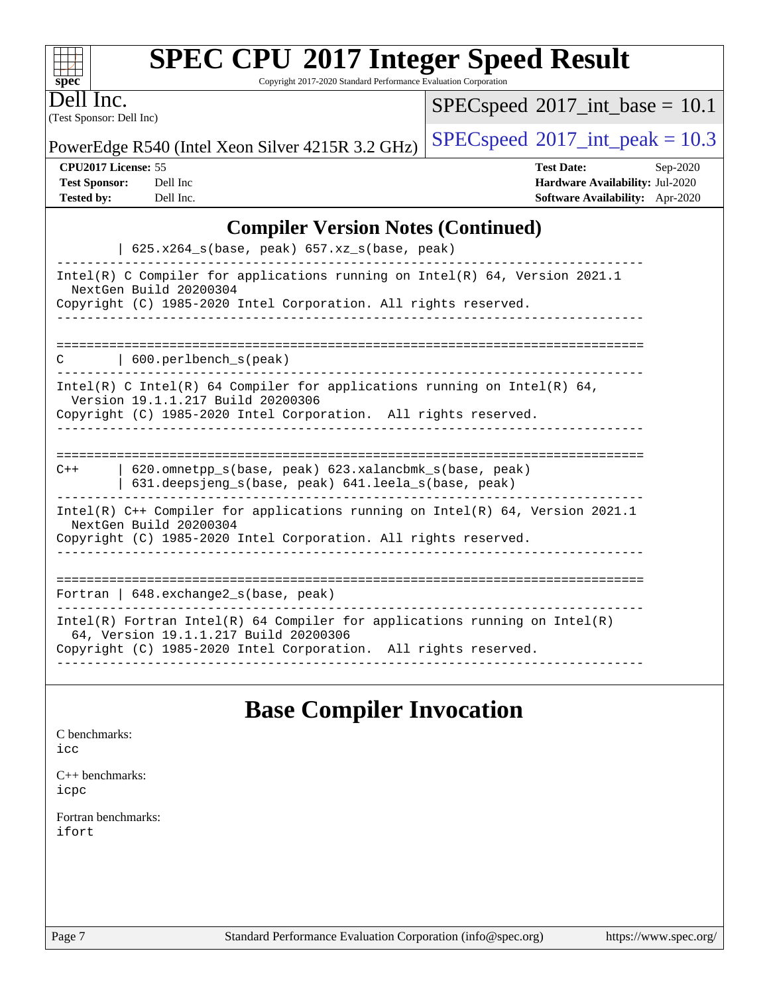| <b>SPEC CPU®2017 Integer Speed Result</b> |  |
|-------------------------------------------|--|
|-------------------------------------------|--|

Copyright 2017-2020 Standard Performance Evaluation Corporation

(Test Sponsor: Dell Inc) Dell Inc.

**[spec](http://www.spec.org/)**

 $+\!\!+\!\!$ 

 $SPECspeed*2017\_int\_base = 10.1$  $SPECspeed*2017\_int\_base = 10.1$ 

PowerEdge R540 (Intel Xeon Silver 4215R 3.2 GHz)  $\left|$  [SPECspeed](http://www.spec.org/auto/cpu2017/Docs/result-fields.html#SPECspeed2017intpeak)<sup>®</sup>[2017\\_int\\_peak = 1](http://www.spec.org/auto/cpu2017/Docs/result-fields.html#SPECspeed2017intpeak)0.3

**[CPU2017 License:](http://www.spec.org/auto/cpu2017/Docs/result-fields.html#CPU2017License)** 55 **[Test Date:](http://www.spec.org/auto/cpu2017/Docs/result-fields.html#TestDate)** Sep-2020 **[Test Sponsor:](http://www.spec.org/auto/cpu2017/Docs/result-fields.html#TestSponsor)** Dell Inc **[Hardware Availability:](http://www.spec.org/auto/cpu2017/Docs/result-fields.html#HardwareAvailability)** Jul-2020 **[Tested by:](http://www.spec.org/auto/cpu2017/Docs/result-fields.html#Testedby)** Dell Inc. **[Software Availability:](http://www.spec.org/auto/cpu2017/Docs/result-fields.html#SoftwareAvailability)** Apr-2020

## **[Compiler Version Notes \(Continued\)](http://www.spec.org/auto/cpu2017/Docs/result-fields.html#CompilerVersionNotes)**

| $625.x264_s(base, peak)$ $657.xz_s(base, peak)$                                                                                                                                        |
|----------------------------------------------------------------------------------------------------------------------------------------------------------------------------------------|
| Intel(R) C Compiler for applications running on Intel(R) $64$ , Version 2021.1<br>NextGen Build 20200304<br>Copyright (C) 1985-2020 Intel Corporation. All rights reserved.            |
| 600.perlbench_s(peak)<br>C                                                                                                                                                             |
| Intel(R) C Intel(R) 64 Compiler for applications running on Intel(R) 64,<br>Version 19.1.1.217 Build 20200306<br>Copyright (C) 1985-2020 Intel Corporation. All rights reserved.       |
| 620.omnetpp s(base, peak) 623.xalancbmk s(base, peak)<br>$C++$<br>631.deepsjeng_s(base, peak) 641.leela_s(base, peak)                                                                  |
| Intel(R) $C++$ Compiler for applications running on Intel(R) 64, Version 2021.1<br>NextGen Build 20200304<br>Copyright (C) 1985-2020 Intel Corporation. All rights reserved.           |
| =====================================<br>Fortran   $648$ . exchange2 $s$ (base, peak)                                                                                                  |
| Intel(R) Fortran Intel(R) 64 Compiler for applications running on Intel(R)<br>64, Version 19.1.1.217 Build 20200306<br>Copyright (C) 1985-2020 Intel Corporation. All rights reserved. |

## **[Base Compiler Invocation](http://www.spec.org/auto/cpu2017/Docs/result-fields.html#BaseCompilerInvocation)**

| C benchmarks:<br>icc         |  |  |
|------------------------------|--|--|
| $C++$ benchmarks:<br>icpc    |  |  |
| Fortran benchmarks:<br>ifort |  |  |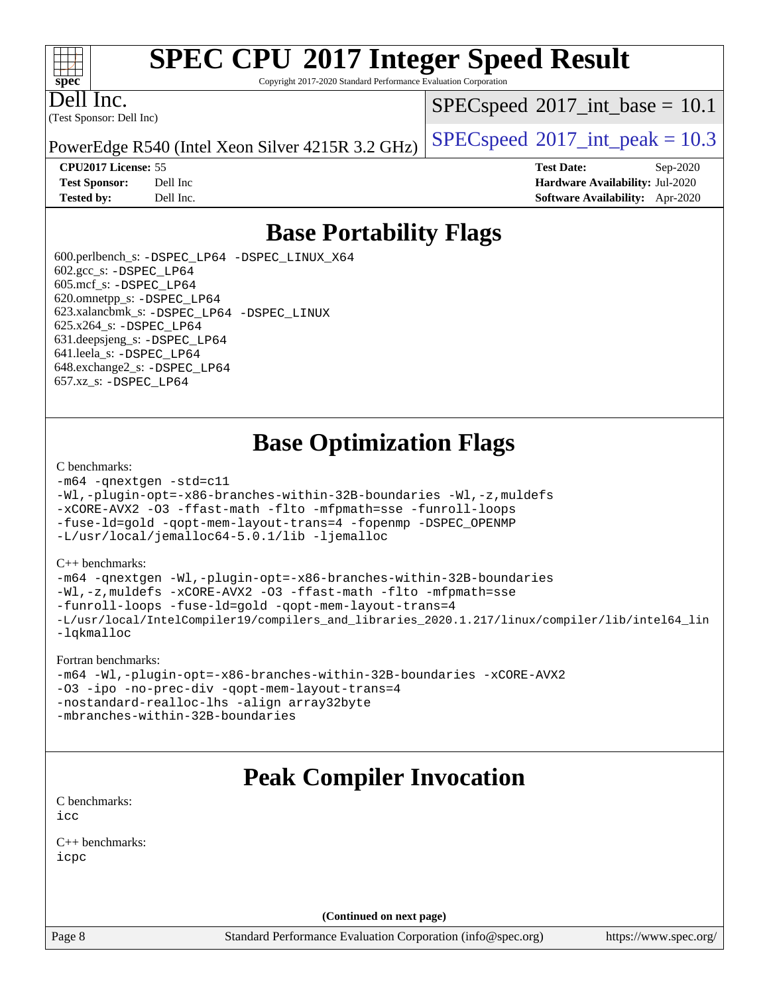Copyright 2017-2020 Standard Performance Evaluation Corporation

Dell Inc.

**[spec](http://www.spec.org/)**

 $+\ +$ 

(Test Sponsor: Dell Inc)

 $SPECspeed^{\circledcirc}2017\_int\_base = 10.1$  $SPECspeed^{\circledcirc}2017\_int\_base = 10.1$ 

PowerEdge R540 (Intel Xeon Silver 4215R 3.2 GHz) [SPECspeed](http://www.spec.org/auto/cpu2017/Docs/result-fields.html#SPECspeed2017intpeak)<sup>®</sup>[2017\\_int\\_peak = 1](http://www.spec.org/auto/cpu2017/Docs/result-fields.html#SPECspeed2017intpeak)0.3

**[CPU2017 License:](http://www.spec.org/auto/cpu2017/Docs/result-fields.html#CPU2017License)** 55 **[Test Date:](http://www.spec.org/auto/cpu2017/Docs/result-fields.html#TestDate)** Sep-2020 **[Test Sponsor:](http://www.spec.org/auto/cpu2017/Docs/result-fields.html#TestSponsor)** Dell Inc **[Hardware Availability:](http://www.spec.org/auto/cpu2017/Docs/result-fields.html#HardwareAvailability)** Jul-2020 **[Tested by:](http://www.spec.org/auto/cpu2017/Docs/result-fields.html#Testedby)** Dell Inc. **[Software Availability:](http://www.spec.org/auto/cpu2017/Docs/result-fields.html#SoftwareAvailability)** Apr-2020

## **[Base Portability Flags](http://www.spec.org/auto/cpu2017/Docs/result-fields.html#BasePortabilityFlags)**

 600.perlbench\_s: [-DSPEC\\_LP64](http://www.spec.org/cpu2017/results/res2020q4/cpu2017-20200928-24081.flags.html#b600.perlbench_s_basePORTABILITY_DSPEC_LP64) [-DSPEC\\_LINUX\\_X64](http://www.spec.org/cpu2017/results/res2020q4/cpu2017-20200928-24081.flags.html#b600.perlbench_s_baseCPORTABILITY_DSPEC_LINUX_X64) 602.gcc\_s: [-DSPEC\\_LP64](http://www.spec.org/cpu2017/results/res2020q4/cpu2017-20200928-24081.flags.html#suite_basePORTABILITY602_gcc_s_DSPEC_LP64) 605.mcf\_s: [-DSPEC\\_LP64](http://www.spec.org/cpu2017/results/res2020q4/cpu2017-20200928-24081.flags.html#suite_basePORTABILITY605_mcf_s_DSPEC_LP64) 620.omnetpp\_s: [-DSPEC\\_LP64](http://www.spec.org/cpu2017/results/res2020q4/cpu2017-20200928-24081.flags.html#suite_basePORTABILITY620_omnetpp_s_DSPEC_LP64) 623.xalancbmk\_s: [-DSPEC\\_LP64](http://www.spec.org/cpu2017/results/res2020q4/cpu2017-20200928-24081.flags.html#suite_basePORTABILITY623_xalancbmk_s_DSPEC_LP64) [-DSPEC\\_LINUX](http://www.spec.org/cpu2017/results/res2020q4/cpu2017-20200928-24081.flags.html#b623.xalancbmk_s_baseCXXPORTABILITY_DSPEC_LINUX) 625.x264\_s: [-DSPEC\\_LP64](http://www.spec.org/cpu2017/results/res2020q4/cpu2017-20200928-24081.flags.html#suite_basePORTABILITY625_x264_s_DSPEC_LP64) 631.deepsjeng\_s: [-DSPEC\\_LP64](http://www.spec.org/cpu2017/results/res2020q4/cpu2017-20200928-24081.flags.html#suite_basePORTABILITY631_deepsjeng_s_DSPEC_LP64) 641.leela\_s: [-DSPEC\\_LP64](http://www.spec.org/cpu2017/results/res2020q4/cpu2017-20200928-24081.flags.html#suite_basePORTABILITY641_leela_s_DSPEC_LP64) 648.exchange2\_s: [-DSPEC\\_LP64](http://www.spec.org/cpu2017/results/res2020q4/cpu2017-20200928-24081.flags.html#suite_basePORTABILITY648_exchange2_s_DSPEC_LP64) 657.xz\_s: [-DSPEC\\_LP64](http://www.spec.org/cpu2017/results/res2020q4/cpu2017-20200928-24081.flags.html#suite_basePORTABILITY657_xz_s_DSPEC_LP64)

## **[Base Optimization Flags](http://www.spec.org/auto/cpu2017/Docs/result-fields.html#BaseOptimizationFlags)**

#### [C benchmarks](http://www.spec.org/auto/cpu2017/Docs/result-fields.html#Cbenchmarks):

```
-m64 -qnextgen -std=c11
-Wl,-plugin-opt=-x86-branches-within-32B-boundaries -Wl,-z,muldefs
-xCORE-AVX2 -O3 -ffast-math -flto -mfpmath=sse -funroll-loops
-fuse-ld=gold -qopt-mem-layout-trans=4 -fopenmp -DSPEC_OPENMP
-L/usr/local/jemalloc64-5.0.1/lib -ljemalloc
```
#### [C++ benchmarks:](http://www.spec.org/auto/cpu2017/Docs/result-fields.html#CXXbenchmarks)

```
-m64 -qnextgen -Wl,-plugin-opt=-x86-branches-within-32B-boundaries
-Wl,-z,muldefs -xCORE-AVX2 -O3 -ffast-math -flto -mfpmath=sse
-funroll-loops -fuse-ld=gold -qopt-mem-layout-trans=4
-L/usr/local/IntelCompiler19/compilers_and_libraries_2020.1.217/linux/compiler/lib/intel64_lin
-lqkmalloc
```
#### [Fortran benchmarks:](http://www.spec.org/auto/cpu2017/Docs/result-fields.html#Fortranbenchmarks)

```
-m64 -Wl,-plugin-opt=-x86-branches-within-32B-boundaries -xCORE-AVX2
-O3 -ipo -no-prec-div -qopt-mem-layout-trans=4
-nostandard-realloc-lhs -align array32byte
-mbranches-within-32B-boundaries
```
## **[Peak Compiler Invocation](http://www.spec.org/auto/cpu2017/Docs/result-fields.html#PeakCompilerInvocation)**

[C benchmarks](http://www.spec.org/auto/cpu2017/Docs/result-fields.html#Cbenchmarks): [icc](http://www.spec.org/cpu2017/results/res2020q4/cpu2017-20200928-24081.flags.html#user_CCpeak_intel_icc_66fc1ee009f7361af1fbd72ca7dcefbb700085f36577c54f309893dd4ec40d12360134090235512931783d35fd58c0460139e722d5067c5574d8eaf2b3e37e92)

[C++ benchmarks:](http://www.spec.org/auto/cpu2017/Docs/result-fields.html#CXXbenchmarks) [icpc](http://www.spec.org/cpu2017/results/res2020q4/cpu2017-20200928-24081.flags.html#user_CXXpeak_intel_icpc_c510b6838c7f56d33e37e94d029a35b4a7bccf4766a728ee175e80a419847e808290a9b78be685c44ab727ea267ec2f070ec5dc83b407c0218cded6866a35d07)

**(Continued on next page)**

Page 8 Standard Performance Evaluation Corporation [\(info@spec.org\)](mailto:info@spec.org) <https://www.spec.org/>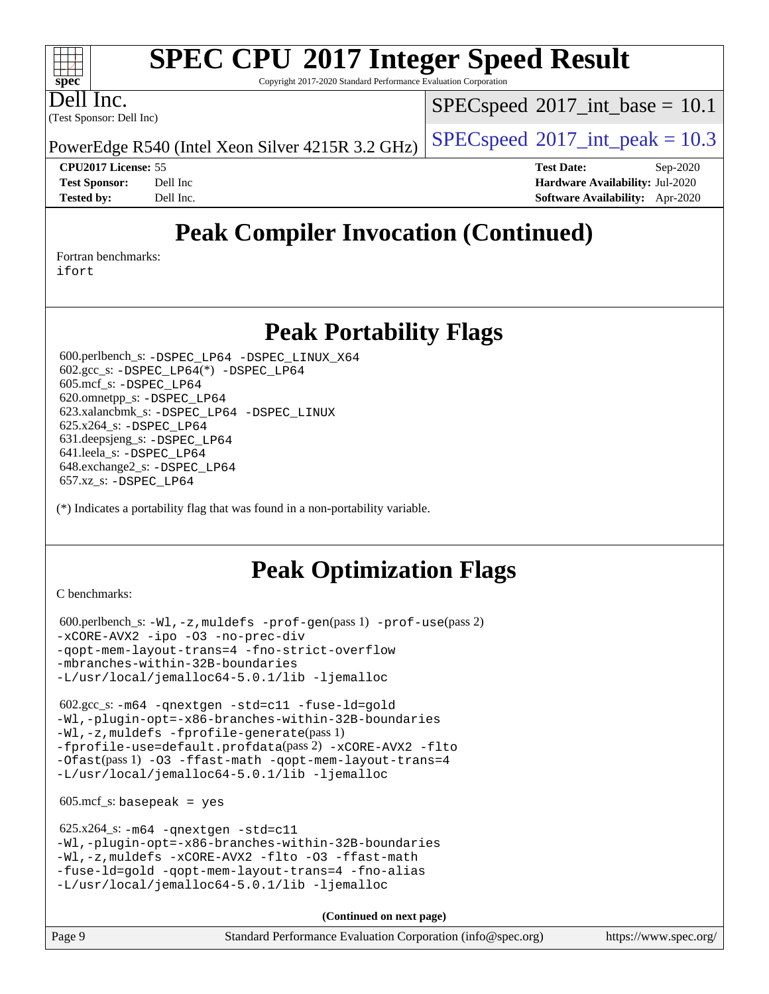Copyright 2017-2020 Standard Performance Evaluation Corporation

(Test Sponsor: Dell Inc) Dell Inc.

**[spec](http://www.spec.org/)**

 $+\ +$ 

 $SPECspeed^{\circledcirc}2017\_int\_base = 10.1$  $SPECspeed^{\circledcirc}2017\_int\_base = 10.1$ 

PowerEdge R540 (Intel Xeon Silver 4215R 3.2 GHz) [SPECspeed](http://www.spec.org/auto/cpu2017/Docs/result-fields.html#SPECspeed2017intpeak)<sup>®</sup>[2017\\_int\\_peak = 1](http://www.spec.org/auto/cpu2017/Docs/result-fields.html#SPECspeed2017intpeak)0.3

**[CPU2017 License:](http://www.spec.org/auto/cpu2017/Docs/result-fields.html#CPU2017License)** 55 **[Test Date:](http://www.spec.org/auto/cpu2017/Docs/result-fields.html#TestDate)** Sep-2020 **[Test Sponsor:](http://www.spec.org/auto/cpu2017/Docs/result-fields.html#TestSponsor)** Dell Inc **[Hardware Availability:](http://www.spec.org/auto/cpu2017/Docs/result-fields.html#HardwareAvailability)** Jul-2020 **[Tested by:](http://www.spec.org/auto/cpu2017/Docs/result-fields.html#Testedby)** Dell Inc. **[Software Availability:](http://www.spec.org/auto/cpu2017/Docs/result-fields.html#SoftwareAvailability)** Apr-2020

## **[Peak Compiler Invocation \(Continued\)](http://www.spec.org/auto/cpu2017/Docs/result-fields.html#PeakCompilerInvocation)**

[Fortran benchmarks](http://www.spec.org/auto/cpu2017/Docs/result-fields.html#Fortranbenchmarks):

[ifort](http://www.spec.org/cpu2017/results/res2020q4/cpu2017-20200928-24081.flags.html#user_FCpeak_intel_ifort_8111460550e3ca792625aed983ce982f94888b8b503583aa7ba2b8303487b4d8a21a13e7191a45c5fd58ff318f48f9492884d4413fa793fd88dd292cad7027ca)

## **[Peak Portability Flags](http://www.spec.org/auto/cpu2017/Docs/result-fields.html#PeakPortabilityFlags)**

 600.perlbench\_s: [-DSPEC\\_LP64](http://www.spec.org/cpu2017/results/res2020q4/cpu2017-20200928-24081.flags.html#b600.perlbench_s_peakPORTABILITY_DSPEC_LP64) [-DSPEC\\_LINUX\\_X64](http://www.spec.org/cpu2017/results/res2020q4/cpu2017-20200928-24081.flags.html#b600.perlbench_s_peakCPORTABILITY_DSPEC_LINUX_X64) 602.gcc\_s: [-DSPEC\\_LP64](http://www.spec.org/cpu2017/results/res2020q4/cpu2017-20200928-24081.flags.html#suite_peakCCLD602_gcc_s_DSPEC_LP64)(\*) [-DSPEC\\_LP64](http://www.spec.org/cpu2017/results/res2020q4/cpu2017-20200928-24081.flags.html#suite_peakPORTABILITY602_gcc_s_DSPEC_LP64) 605.mcf\_s: [-DSPEC\\_LP64](http://www.spec.org/cpu2017/results/res2020q4/cpu2017-20200928-24081.flags.html#suite_peakPORTABILITY605_mcf_s_DSPEC_LP64) 620.omnetpp\_s: [-DSPEC\\_LP64](http://www.spec.org/cpu2017/results/res2020q4/cpu2017-20200928-24081.flags.html#suite_peakPORTABILITY620_omnetpp_s_DSPEC_LP64) 623.xalancbmk\_s: [-DSPEC\\_LP64](http://www.spec.org/cpu2017/results/res2020q4/cpu2017-20200928-24081.flags.html#suite_peakPORTABILITY623_xalancbmk_s_DSPEC_LP64) [-DSPEC\\_LINUX](http://www.spec.org/cpu2017/results/res2020q4/cpu2017-20200928-24081.flags.html#b623.xalancbmk_s_peakCXXPORTABILITY_DSPEC_LINUX) 625.x264\_s: [-DSPEC\\_LP64](http://www.spec.org/cpu2017/results/res2020q4/cpu2017-20200928-24081.flags.html#suite_peakPORTABILITY625_x264_s_DSPEC_LP64) 631.deepsjeng\_s: [-DSPEC\\_LP64](http://www.spec.org/cpu2017/results/res2020q4/cpu2017-20200928-24081.flags.html#suite_peakPORTABILITY631_deepsjeng_s_DSPEC_LP64) 641.leela\_s: [-DSPEC\\_LP64](http://www.spec.org/cpu2017/results/res2020q4/cpu2017-20200928-24081.flags.html#suite_peakPORTABILITY641_leela_s_DSPEC_LP64) 648.exchange2\_s: [-DSPEC\\_LP64](http://www.spec.org/cpu2017/results/res2020q4/cpu2017-20200928-24081.flags.html#suite_peakPORTABILITY648_exchange2_s_DSPEC_LP64) 657.xz\_s: [-DSPEC\\_LP64](http://www.spec.org/cpu2017/results/res2020q4/cpu2017-20200928-24081.flags.html#suite_peakPORTABILITY657_xz_s_DSPEC_LP64)

(\*) Indicates a portability flag that was found in a non-portability variable.

## **[Peak Optimization Flags](http://www.spec.org/auto/cpu2017/Docs/result-fields.html#PeakOptimizationFlags)**

[C benchmarks](http://www.spec.org/auto/cpu2017/Docs/result-fields.html#Cbenchmarks):

 600.perlbench\_s: [-Wl,-z,muldefs](http://www.spec.org/cpu2017/results/res2020q4/cpu2017-20200928-24081.flags.html#user_peakEXTRA_LDFLAGS600_perlbench_s_link_force_multiple1_b4cbdb97b34bdee9ceefcfe54f4c8ea74255f0b02a4b23e853cdb0e18eb4525ac79b5a88067c842dd0ee6996c24547a27a4b99331201badda8798ef8a743f577) [-prof-gen](http://www.spec.org/cpu2017/results/res2020q4/cpu2017-20200928-24081.flags.html#user_peakPASS1_CFLAGSPASS1_LDFLAGS600_perlbench_s_prof_gen_5aa4926d6013ddb2a31985c654b3eb18169fc0c6952a63635c234f711e6e63dd76e94ad52365559451ec499a2cdb89e4dc58ba4c67ef54ca681ffbe1461d6b36)(pass 1) [-prof-use](http://www.spec.org/cpu2017/results/res2020q4/cpu2017-20200928-24081.flags.html#user_peakPASS2_CFLAGSPASS2_LDFLAGS600_perlbench_s_prof_use_1a21ceae95f36a2b53c25747139a6c16ca95bd9def2a207b4f0849963b97e94f5260e30a0c64f4bb623698870e679ca08317ef8150905d41bd88c6f78df73f19)(pass 2) [-xCORE-AVX2](http://www.spec.org/cpu2017/results/res2020q4/cpu2017-20200928-24081.flags.html#user_peakCOPTIMIZE600_perlbench_s_f-xCORE-AVX2) [-ipo](http://www.spec.org/cpu2017/results/res2020q4/cpu2017-20200928-24081.flags.html#user_peakCOPTIMIZE600_perlbench_s_f-ipo) [-O3](http://www.spec.org/cpu2017/results/res2020q4/cpu2017-20200928-24081.flags.html#user_peakCOPTIMIZE600_perlbench_s_f-O3) [-no-prec-div](http://www.spec.org/cpu2017/results/res2020q4/cpu2017-20200928-24081.flags.html#user_peakCOPTIMIZE600_perlbench_s_f-no-prec-div) [-qopt-mem-layout-trans=4](http://www.spec.org/cpu2017/results/res2020q4/cpu2017-20200928-24081.flags.html#user_peakCOPTIMIZE600_perlbench_s_f-qopt-mem-layout-trans_fa39e755916c150a61361b7846f310bcdf6f04e385ef281cadf3647acec3f0ae266d1a1d22d972a7087a248fd4e6ca390a3634700869573d231a252c784941a8) [-fno-strict-overflow](http://www.spec.org/cpu2017/results/res2020q4/cpu2017-20200928-24081.flags.html#user_peakEXTRA_OPTIMIZE600_perlbench_s_f-fno-strict-overflow) [-mbranches-within-32B-boundaries](http://www.spec.org/cpu2017/results/res2020q4/cpu2017-20200928-24081.flags.html#user_peakEXTRA_COPTIMIZE600_perlbench_s_f-mbranches-within-32B-boundaries) [-L/usr/local/jemalloc64-5.0.1/lib](http://www.spec.org/cpu2017/results/res2020q4/cpu2017-20200928-24081.flags.html#user_peakEXTRA_LIBS600_perlbench_s_jemalloc_link_path64_1_cc289568b1a6c0fd3b62c91b824c27fcb5af5e8098e6ad028160d21144ef1b8aef3170d2acf0bee98a8da324cfe4f67d0a3d0c4cc4673d993d694dc2a0df248b) [-ljemalloc](http://www.spec.org/cpu2017/results/res2020q4/cpu2017-20200928-24081.flags.html#user_peakEXTRA_LIBS600_perlbench_s_jemalloc_link_lib_d1249b907c500fa1c0672f44f562e3d0f79738ae9e3c4a9c376d49f265a04b9c99b167ecedbf6711b3085be911c67ff61f150a17b3472be731631ba4d0471706)

 602.gcc\_s: [-m64](http://www.spec.org/cpu2017/results/res2020q4/cpu2017-20200928-24081.flags.html#user_peakCCLD602_gcc_s_m64-icc) [-qnextgen](http://www.spec.org/cpu2017/results/res2020q4/cpu2017-20200928-24081.flags.html#user_peakCCLD602_gcc_s_f-qnextgen) [-std=c11](http://www.spec.org/cpu2017/results/res2020q4/cpu2017-20200928-24081.flags.html#user_peakCCLD602_gcc_s_std-icc-std_0e1c27790398a4642dfca32ffe6c27b5796f9c2d2676156f2e42c9c44eaad0c049b1cdb667a270c34d979996257aeb8fc440bfb01818dbc9357bd9d174cb8524) [-fuse-ld=gold](http://www.spec.org/cpu2017/results/res2020q4/cpu2017-20200928-24081.flags.html#user_peakCCLD602_gcc_s_f-fuse-ld_920b3586e2b8c6e0748b9c84fa9b744736ba725a32cab14ad8f3d4ad28eecb2f59d1144823d2e17006539a88734fe1fc08fc3035f7676166309105a78aaabc32) [-Wl,-plugin-opt=-x86-branches-within-32B-boundaries](http://www.spec.org/cpu2017/results/res2020q4/cpu2017-20200928-24081.flags.html#user_peakLDFLAGS602_gcc_s_f-x86-branches-within-32B-boundaries_0098b4e4317ae60947b7b728078a624952a08ac37a3c797dfb4ffeb399e0c61a9dd0f2f44ce917e9361fb9076ccb15e7824594512dd315205382d84209e912f3) [-Wl,-z,muldefs](http://www.spec.org/cpu2017/results/res2020q4/cpu2017-20200928-24081.flags.html#user_peakEXTRA_LDFLAGS602_gcc_s_link_force_multiple1_b4cbdb97b34bdee9ceefcfe54f4c8ea74255f0b02a4b23e853cdb0e18eb4525ac79b5a88067c842dd0ee6996c24547a27a4b99331201badda8798ef8a743f577) [-fprofile-generate](http://www.spec.org/cpu2017/results/res2020q4/cpu2017-20200928-24081.flags.html#user_peakPASS1_CFLAGSPASS1_LDFLAGS602_gcc_s_fprofile-generate)(pass 1) [-fprofile-use=default.profdata](http://www.spec.org/cpu2017/results/res2020q4/cpu2017-20200928-24081.flags.html#user_peakPASS2_CFLAGSPASS2_LDFLAGS602_gcc_s_fprofile-use_56aeee182b92ec249f9670f17c9b8e7d83fe2d25538e35a2cf64c434b579a2235a8b8fc66ef5678d24461366bbab9d486c870d8a72905233fc08e43eefe3cd80)(pass 2) [-xCORE-AVX2](http://www.spec.org/cpu2017/results/res2020q4/cpu2017-20200928-24081.flags.html#user_peakCOPTIMIZEPASS1_CFLAGSPASS1_LDFLAGS602_gcc_s_f-xCORE-AVX2) [-flto](http://www.spec.org/cpu2017/results/res2020q4/cpu2017-20200928-24081.flags.html#user_peakCOPTIMIZEPASS1_CFLAGSPASS1_LDFLAGS602_gcc_s_f-flto) [-Ofast](http://www.spec.org/cpu2017/results/res2020q4/cpu2017-20200928-24081.flags.html#user_peakPASS1_CFLAGSPASS1_LDFLAGS602_gcc_s_f-Ofast)(pass 1) [-O3](http://www.spec.org/cpu2017/results/res2020q4/cpu2017-20200928-24081.flags.html#user_peakCOPTIMIZE602_gcc_s_f-O3) [-ffast-math](http://www.spec.org/cpu2017/results/res2020q4/cpu2017-20200928-24081.flags.html#user_peakCOPTIMIZE602_gcc_s_f-ffast-math) [-qopt-mem-layout-trans=4](http://www.spec.org/cpu2017/results/res2020q4/cpu2017-20200928-24081.flags.html#user_peakCOPTIMIZE602_gcc_s_f-qopt-mem-layout-trans_fa39e755916c150a61361b7846f310bcdf6f04e385ef281cadf3647acec3f0ae266d1a1d22d972a7087a248fd4e6ca390a3634700869573d231a252c784941a8) [-L/usr/local/jemalloc64-5.0.1/lib](http://www.spec.org/cpu2017/results/res2020q4/cpu2017-20200928-24081.flags.html#user_peakEXTRA_LIBS602_gcc_s_jemalloc_link_path64_1_cc289568b1a6c0fd3b62c91b824c27fcb5af5e8098e6ad028160d21144ef1b8aef3170d2acf0bee98a8da324cfe4f67d0a3d0c4cc4673d993d694dc2a0df248b) [-ljemalloc](http://www.spec.org/cpu2017/results/res2020q4/cpu2017-20200928-24081.flags.html#user_peakEXTRA_LIBS602_gcc_s_jemalloc_link_lib_d1249b907c500fa1c0672f44f562e3d0f79738ae9e3c4a9c376d49f265a04b9c99b167ecedbf6711b3085be911c67ff61f150a17b3472be731631ba4d0471706)

 $605.\text{mcf}\text{ s}:$  basepeak = yes

 625.x264\_s: [-m64](http://www.spec.org/cpu2017/results/res2020q4/cpu2017-20200928-24081.flags.html#user_peakCCLD625_x264_s_m64-icc) [-qnextgen](http://www.spec.org/cpu2017/results/res2020q4/cpu2017-20200928-24081.flags.html#user_peakCCLD625_x264_s_f-qnextgen) [-std=c11](http://www.spec.org/cpu2017/results/res2020q4/cpu2017-20200928-24081.flags.html#user_peakCCLD625_x264_s_std-icc-std_0e1c27790398a4642dfca32ffe6c27b5796f9c2d2676156f2e42c9c44eaad0c049b1cdb667a270c34d979996257aeb8fc440bfb01818dbc9357bd9d174cb8524) [-Wl,-plugin-opt=-x86-branches-within-32B-boundaries](http://www.spec.org/cpu2017/results/res2020q4/cpu2017-20200928-24081.flags.html#user_peakLDFLAGS625_x264_s_f-x86-branches-within-32B-boundaries_0098b4e4317ae60947b7b728078a624952a08ac37a3c797dfb4ffeb399e0c61a9dd0f2f44ce917e9361fb9076ccb15e7824594512dd315205382d84209e912f3) [-Wl,-z,muldefs](http://www.spec.org/cpu2017/results/res2020q4/cpu2017-20200928-24081.flags.html#user_peakEXTRA_LDFLAGS625_x264_s_link_force_multiple1_b4cbdb97b34bdee9ceefcfe54f4c8ea74255f0b02a4b23e853cdb0e18eb4525ac79b5a88067c842dd0ee6996c24547a27a4b99331201badda8798ef8a743f577) [-xCORE-AVX2](http://www.spec.org/cpu2017/results/res2020q4/cpu2017-20200928-24081.flags.html#user_peakCOPTIMIZE625_x264_s_f-xCORE-AVX2) [-flto](http://www.spec.org/cpu2017/results/res2020q4/cpu2017-20200928-24081.flags.html#user_peakCOPTIMIZE625_x264_s_f-flto) [-O3](http://www.spec.org/cpu2017/results/res2020q4/cpu2017-20200928-24081.flags.html#user_peakCOPTIMIZE625_x264_s_f-O3) [-ffast-math](http://www.spec.org/cpu2017/results/res2020q4/cpu2017-20200928-24081.flags.html#user_peakCOPTIMIZE625_x264_s_f-ffast-math) [-fuse-ld=gold](http://www.spec.org/cpu2017/results/res2020q4/cpu2017-20200928-24081.flags.html#user_peakCOPTIMIZE625_x264_s_f-fuse-ld_920b3586e2b8c6e0748b9c84fa9b744736ba725a32cab14ad8f3d4ad28eecb2f59d1144823d2e17006539a88734fe1fc08fc3035f7676166309105a78aaabc32) [-qopt-mem-layout-trans=4](http://www.spec.org/cpu2017/results/res2020q4/cpu2017-20200928-24081.flags.html#user_peakCOPTIMIZE625_x264_s_f-qopt-mem-layout-trans_fa39e755916c150a61361b7846f310bcdf6f04e385ef281cadf3647acec3f0ae266d1a1d22d972a7087a248fd4e6ca390a3634700869573d231a252c784941a8) [-fno-alias](http://www.spec.org/cpu2017/results/res2020q4/cpu2017-20200928-24081.flags.html#user_peakEXTRA_OPTIMIZE625_x264_s_f-no-alias_77dbac10d91cbfe898fbf4a29d1b29b694089caa623bdd1baccc9957d4edbe8d106c0b357e2748a65b44fc9e83d78098bb898077f3fe92f9faf24f7bd4a07ed7) [-L/usr/local/jemalloc64-5.0.1/lib](http://www.spec.org/cpu2017/results/res2020q4/cpu2017-20200928-24081.flags.html#user_peakEXTRA_LIBS625_x264_s_jemalloc_link_path64_1_cc289568b1a6c0fd3b62c91b824c27fcb5af5e8098e6ad028160d21144ef1b8aef3170d2acf0bee98a8da324cfe4f67d0a3d0c4cc4673d993d694dc2a0df248b) [-ljemalloc](http://www.spec.org/cpu2017/results/res2020q4/cpu2017-20200928-24081.flags.html#user_peakEXTRA_LIBS625_x264_s_jemalloc_link_lib_d1249b907c500fa1c0672f44f562e3d0f79738ae9e3c4a9c376d49f265a04b9c99b167ecedbf6711b3085be911c67ff61f150a17b3472be731631ba4d0471706)

**(Continued on next page)**